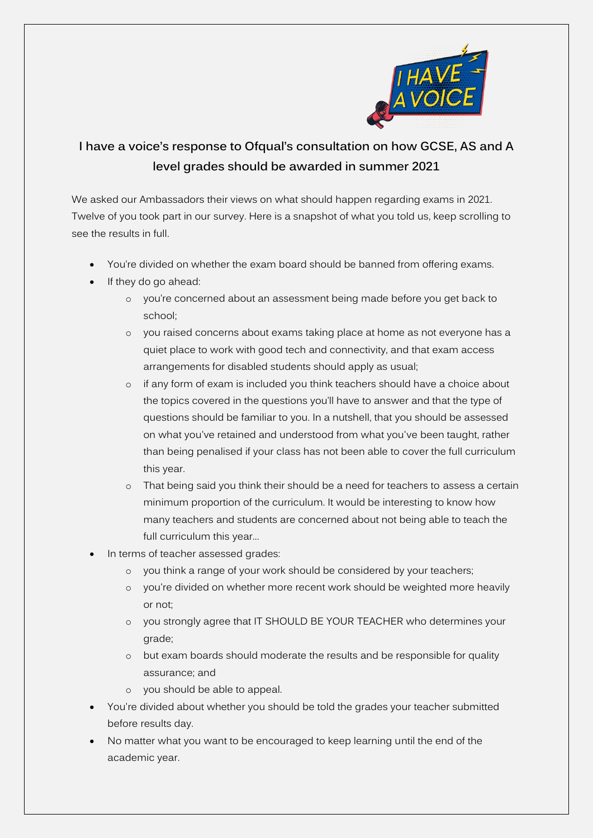

# **I have a voice's response to Ofqual's consultation on how GCSE, AS and A level grades should be awarded in summer 2021**

We asked our Ambassadors their views on what should happen regarding exams in 2021. Twelve of you took part in our survey. Here is a snapshot of what you told us, keep scrolling to see the results in full.

- You're divided on whether the exam board should be banned from offering exams.
- If they do go ahead:
	- o you're concerned about an assessment being made before you get back to school;
	- o you raised concerns about exams taking place at home as not everyone has a quiet place to work with good tech and connectivity, and that exam access arrangements for disabled students should apply as usual;
	- o if any form of exam is included you think teachers should have a choice about the topics covered in the questions you'll have to answer and that the type of questions should be familiar to you. In a nutshell, that you should be assessed on what you've retained and understood from what you've been taught, rather than being penalised if your class has not been able to cover the full curriculum this year.
	- o That being said you think their should be a need for teachers to assess a certain minimum proportion of the curriculum. It would be interesting to know how many teachers and students are concerned about not being able to teach the full curriculum this year...
- In terms of teacher assessed grades:
	- o you think a range of your work should be considered by your teachers;
	- o you're divided on whether more recent work should be weighted more heavily or not;
	- o you strongly agree that IT SHOULD BE YOUR TEACHER who determines your grade;
	- o but exam boards should moderate the results and be responsible for quality assurance; and
	- o you should be able to appeal.
- You're divided about whether you should be told the grades your teacher submitted before results day.
- No matter what you want to be encouraged to keep learning until the end of the academic year.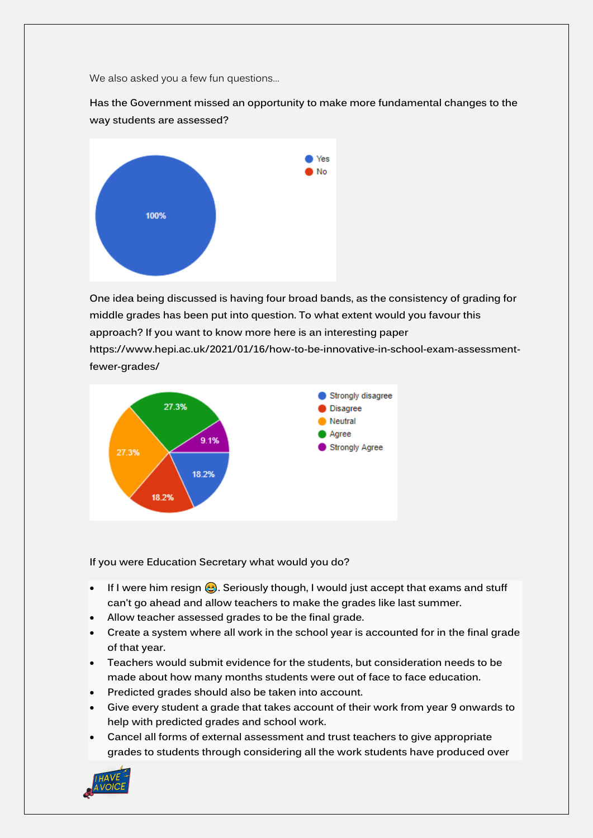We also asked you a few fun questions…

**Has the Government missed an opportunity to make more fundamental changes to the way students are assessed?**



**One idea being discussed is having four broad bands, as the consistency of grading for middle grades has been put into question. To what extent would you favour this approach? If you want to know more here is an interesting paper [https://www.hepi.ac.uk/2021/01/16/how-to-be-innovative-in-school-exam-assessment](https://www.hepi.ac.uk/2021/01/16/how-to-be-innovative-in-school-exam-assessment-fewer-grades/)[fewer-grades/](https://www.hepi.ac.uk/2021/01/16/how-to-be-innovative-in-school-exam-assessment-fewer-grades/)**



**If you were Education Secretary what would you do?**

- If I were him resign **.** Seriously though, I would just accept that exams and stuff **can't go ahead and allow teachers to make the grades like last summer.**
- **Allow teacher assessed grades to be the final grade.**
- **Create a system where all work in the school year is accounted for in the final grade of that year.**
- **Teachers would submit evidence for the students, but consideration needs to be made about how many months students were out of face to face education.**
- **Predicted grades should also be taken into account.**
- **Give every student a grade that takes account of their work from year 9 onwards to help with predicted grades and school work.**
- **Cancel all forms of external assessment and trust teachers to give appropriate grades to students through considering all the work students have produced over**

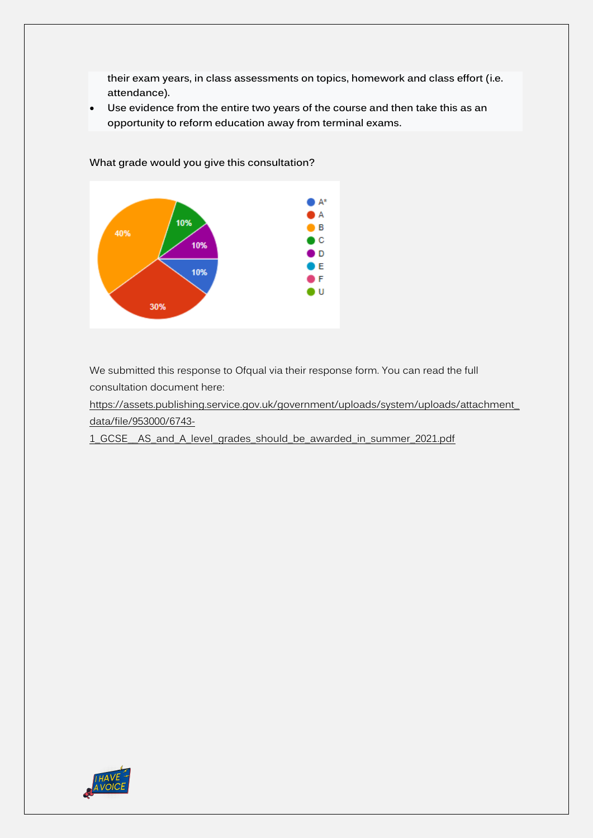**their exam years, in class assessments on topics, homework and class effort (i.e. attendance).**

• **Use evidence from the entire two years of the course and then take this as an opportunity to reform education away from terminal exams.**



**What grade would you give this consultation?**

We submitted this response to Ofqual via their response form. You can read the full consultation document here:

[https://assets.publishing.service.gov.uk/government/uploads/system/uploads/attachment\\_](https://assets.publishing.service.gov.uk/government/uploads/system/uploads/attachment_data/file/953000/6743-1_GCSE__AS_and_A_level_grades_should_be_awarded_in_summer_2021.pdf) [data/file/953000/6743-](https://assets.publishing.service.gov.uk/government/uploads/system/uploads/attachment_data/file/953000/6743-1_GCSE__AS_and_A_level_grades_should_be_awarded_in_summer_2021.pdf)

[1\\_GCSE\\_\\_AS\\_and\\_A\\_level\\_grades\\_should\\_be\\_awarded\\_in\\_summer\\_2021.pdf](https://assets.publishing.service.gov.uk/government/uploads/system/uploads/attachment_data/file/953000/6743-1_GCSE__AS_and_A_level_grades_should_be_awarded_in_summer_2021.pdf)

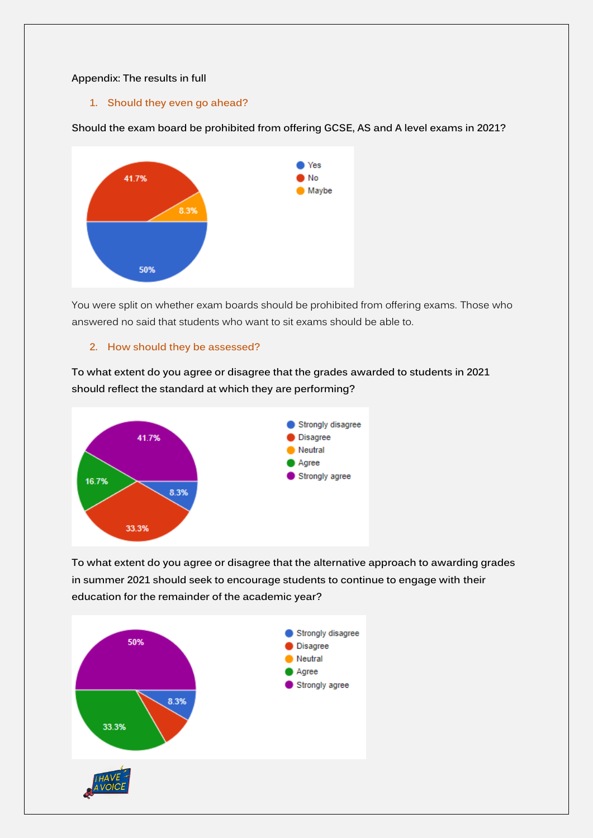## **Appendix: The results in full**

**1. Should they even go ahead?**

**Should the exam board be prohibited from offering GCSE, AS and A level exams in 2021?**



You were split on whether exam boards should be prohibited from offering exams. Those who answered no said that students who want to sit exams should be able to.

## **2. How should they be assessed?**

**To what extent do you agree or disagree that the grades awarded to students in 2021 should reflect the standard at which they are performing?**



**To what extent do you agree or disagree that the alternative approach to awarding grades in summer 2021 should seek to encourage students to continue to engage with their education for the remainder of the academic year?**

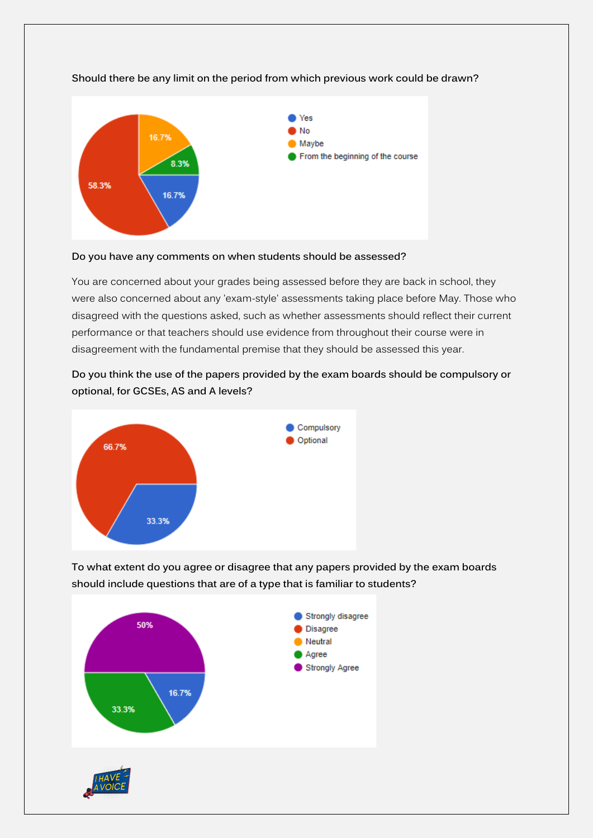

# **Should there be any limit on the period from which previous work could be drawn?**

#### **Do you have any comments on when students should be assessed?**

You are concerned about your grades being assessed before they are back in school, they were also concerned about any 'exam-style' assessments taking place before May. Those who disagreed with the questions asked, such as whether assessments should reflect their current performance or that teachers should use evidence from throughout their course were in disagreement with the fundamental premise that they should be assessed this year.

**Do you think the use of the papers provided by the exam boards should be compulsory or optional, for GCSEs, AS and A levels?**



**To what extent do you agree or disagree that any papers provided by the exam boards should include questions that are of a type that is familiar to students?**

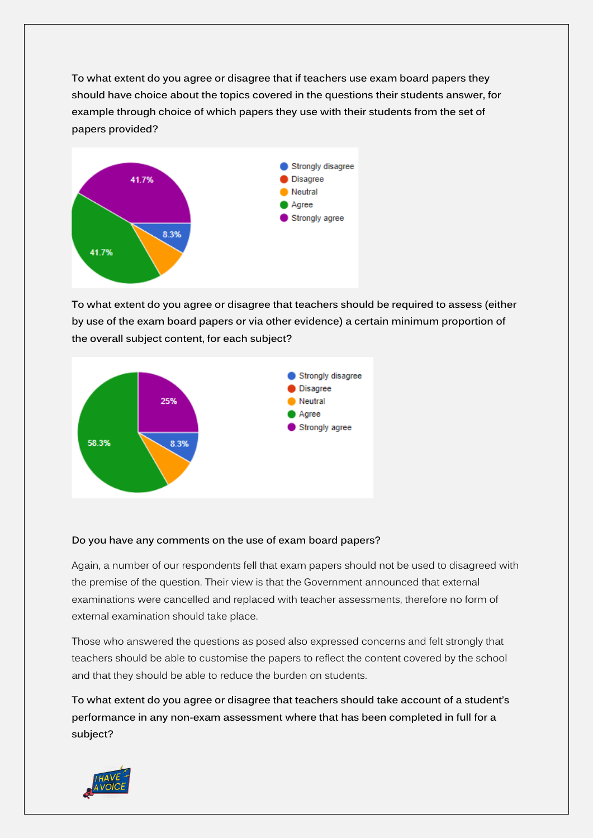**To what extent do you agree or disagree that if teachers use exam board papers they should have choice about the topics covered in the questions their students answer, for example through choice of which papers they use with their students from the set of papers provided?**



**To what extent do you agree or disagree that teachers should be required to assess (either by use of the exam board papers or via other evidence) a certain minimum proportion of the overall subject content, for each subject?**



## **Do you have any comments on the use of exam board papers?**

Again, a number of our respondents fell that exam papers should not be used to disagreed with the premise of the question. Their view is that the Government announced that external examinations were cancelled and replaced with teacher assessments, therefore no form of external examination should take place.

Those who answered the questions as posed also expressed concerns and felt strongly that teachers should be able to customise the papers to reflect the content covered by the school and that they should be able to reduce the burden on students.

**To what extent do you agree or disagree that teachers should take account of a student's performance in any non-exam assessment where that has been completed in full for a subject?**

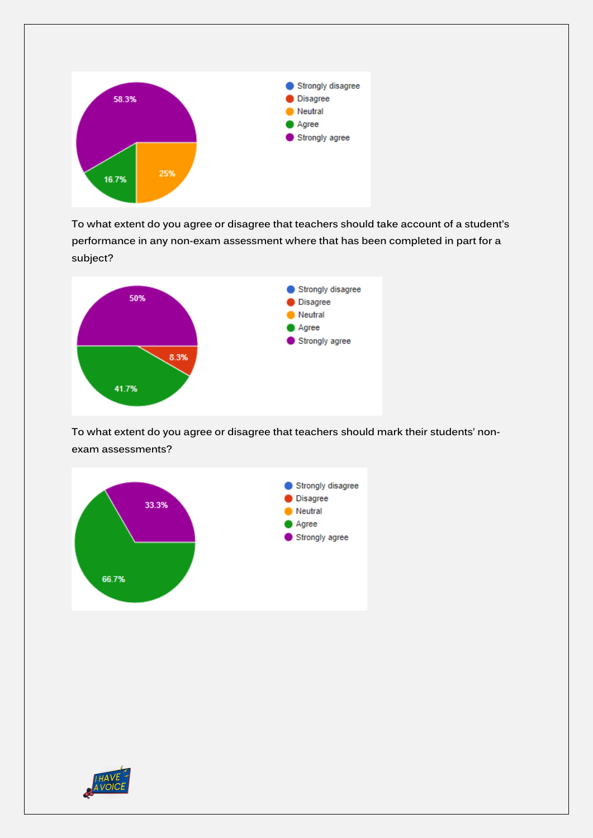

**To what extent do you agree or disagree that teachers should take account of a student's performance in any non-exam assessment where that has been completed in part for a subject?**



**To what extent do you agree or disagree that teachers should mark their students' nonexam assessments?**



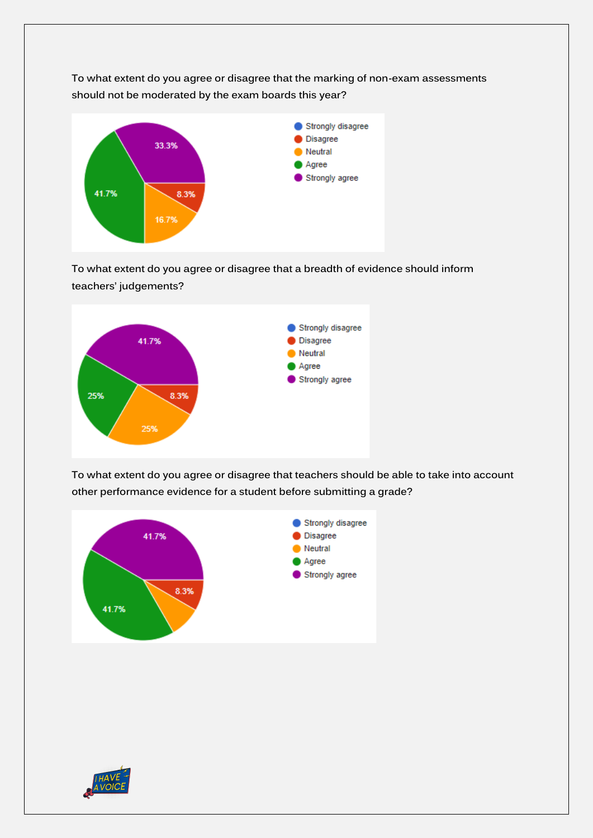**To what extent do you agree or disagree that the marking of non-exam assessments should not be moderated by the exam boards this year?**



**To what extent do you agree or disagree that a breadth of evidence should inform teachers' judgements?**



**To what extent do you agree or disagree that teachers should be able to take into account other performance evidence for a student before submitting a grade?**



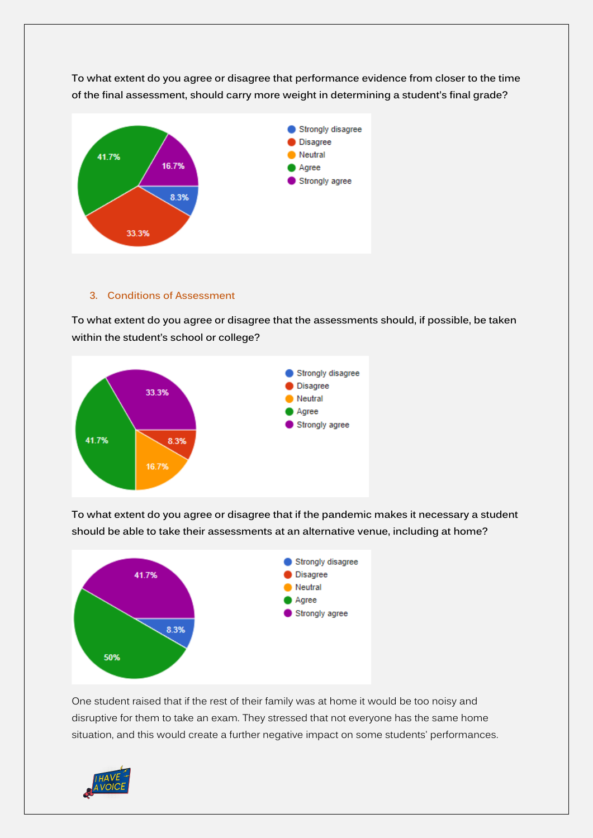

**To what extent do you agree or disagree that performance evidence from closer to the time of the final assessment, should carry more weight in determining a student's final grade?**

#### **3. Conditions of Assessment**

**To what extent do you agree or disagree that the assessments should, if possible, be taken within the student's school or college?**



**To what extent do you agree or disagree that if the pandemic makes it necessary a student should be able to take their assessments at an alternative venue, including at home?**



One student raised that if the rest of their family was at home it would be too noisy and disruptive for them to take an exam. They stressed that not everyone has the same home situation, and this would create a further negative impact on some students' performances.

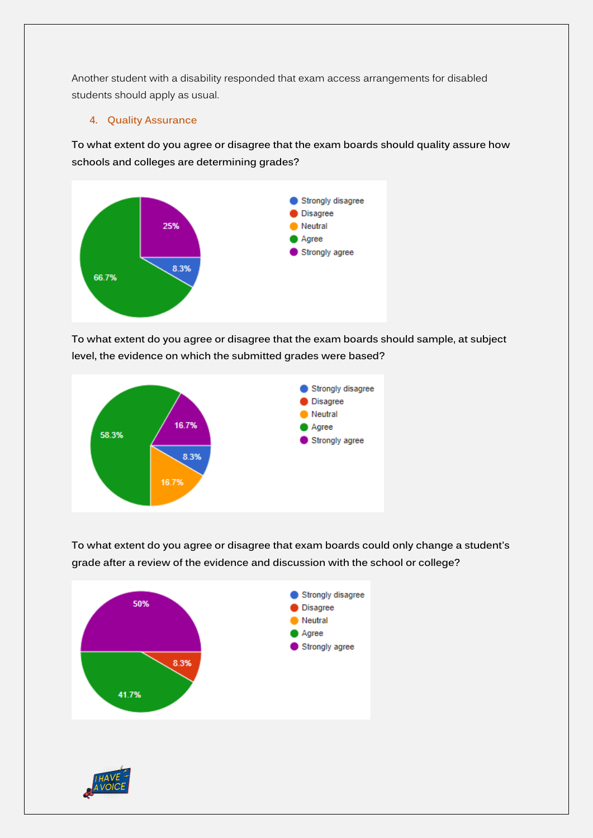Another student with a disability responded that exam access arrangements for disabled students should apply as usual.

**4. Quality Assurance**

**To what extent do you agree or disagree that the exam boards should quality assure how schools and colleges are determining grades?**



**To what extent do you agree or disagree that the exam boards should sample, at subject level, the evidence on which the submitted grades were based?**



**To what extent do you agree or disagree that exam boards could only change a student's grade after a review of the evidence and discussion with the school or college?**

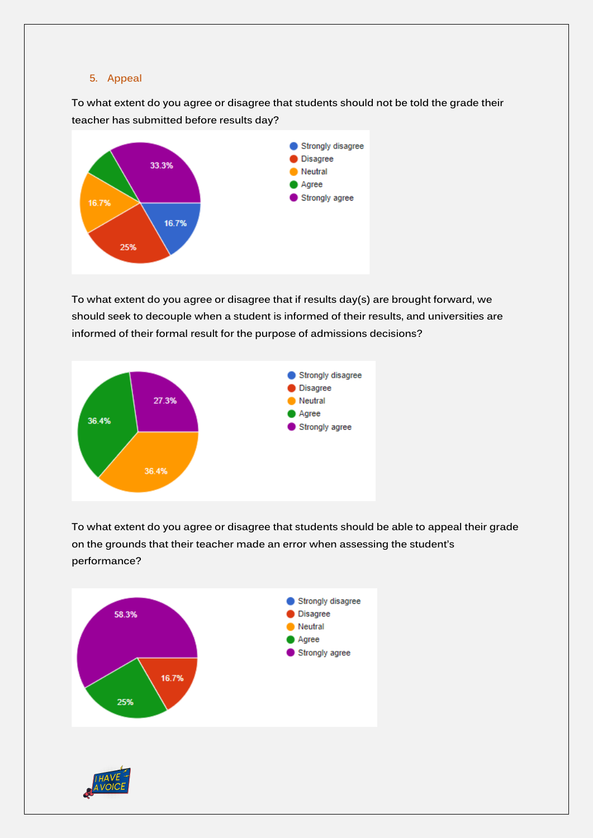## **5. Appeal**

**To what extent do you agree or disagree that students should not be told the grade their teacher has submitted before results day?**



**To what extent do you agree or disagree that if results day(s) are brought forward, we should seek to decouple when a student is informed of their results, and universities are informed of their formal result for the purpose of admissions decisions?**



**To what extent do you agree or disagree that students should be able to appeal their grade on the grounds that their teacher made an error when assessing the student's performance?**

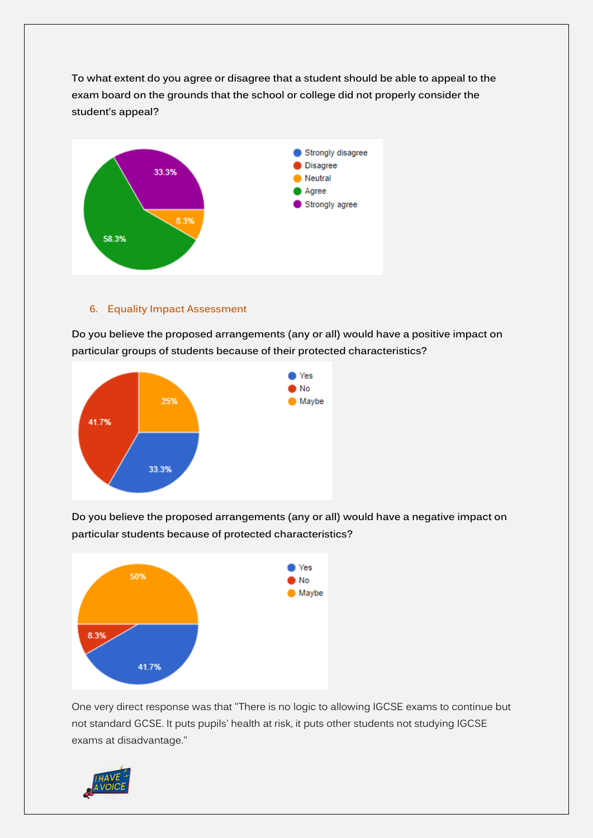**To what extent do you agree or disagree that a student should be able to appeal to the exam board on the grounds that the school or college did not properly consider the student's appeal?**



# **6. Equality Impact Assessment**

**Do you believe the proposed arrangements (any or all) would have a positive impact on particular groups of students because of their protected characteristics?**



**Do you believe the proposed arrangements (any or all) would have a negative impact on particular students because of protected characteristics?**



One very direct response was that "There is no logic to allowing IGCSE exams to continue but not standard GCSE. It puts pupils' health at risk, it puts other students not studying IGCSE exams at disadvantage."